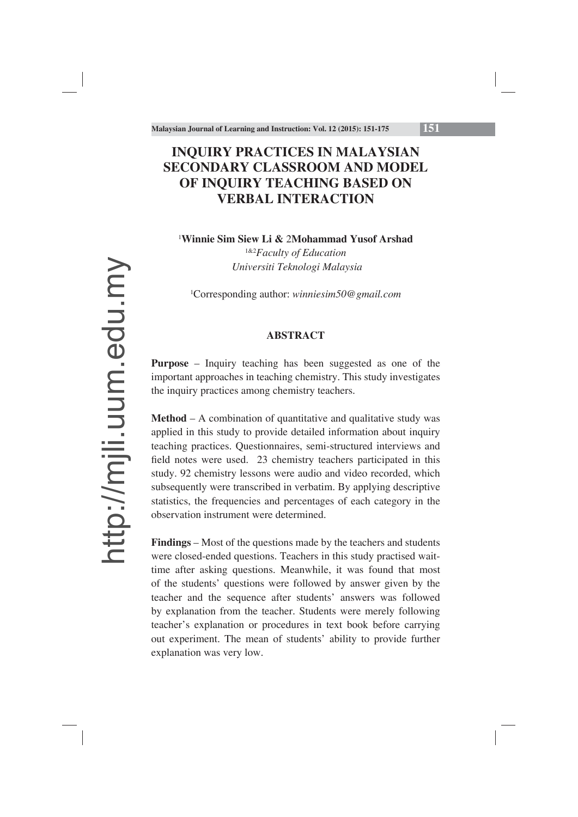# **INQUIRY PRACTICES IN MALAYSIAN SECONDARY CLASSROOM AND MODEL OF INQUIRY TEACHING BASED ON VERBAL INTERACTION**

1 **Winnie Sim Siew Li &** 2**Mohammad Yusof Arshad**

1&2*Faculty of Education Universiti Teknologi Malaysia*

1 Corresponding author: *winniesim50@gmail.com*

## **ABSTRACT**

**Purpose** – Inquiry teaching has been suggested as one of the important approaches in teaching chemistry. This study investigates the inquiry practices among chemistry teachers.

**Method** – A combination of quantitative and qualitative study was applied in this study to provide detailed information about inquiry teaching practices. Questionnaires, semi-structured interviews and field notes were used. 23 chemistry teachers participated in this study. 92 chemistry lessons were audio and video recorded, which subsequently were transcribed in verbatim. By applying descriptive statistics, the frequencies and percentages of each category in the observation instrument were determined.

**Findings** – Most of the questions made by the teachers and students were closed-ended questions. Teachers in this study practised waittime after asking questions. Meanwhile, it was found that most of the students' questions were followed by answer given by the teacher and the sequence after students' answers was followed by explanation from the teacher. Students were merely following teacher's explanation or procedures in text book before carrying out experiment. The mean of students' ability to provide further explanation was very low.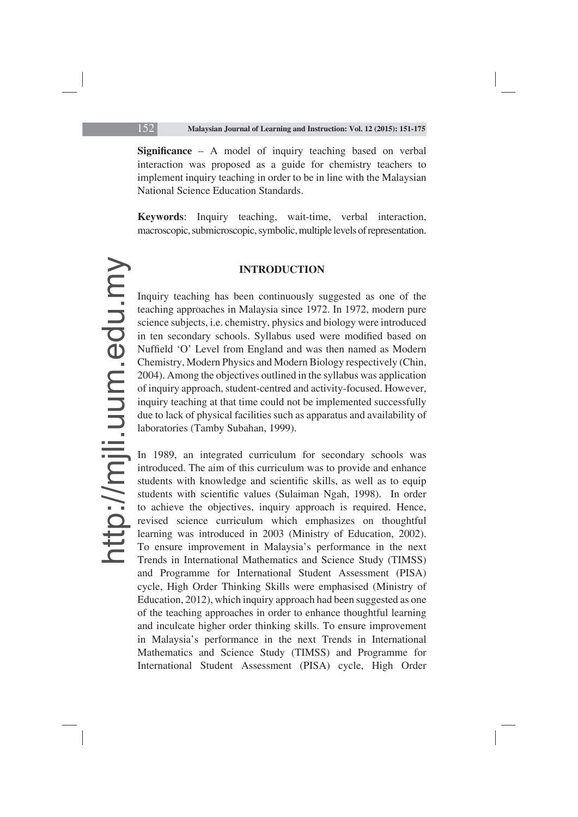**Significance** – A model of inquiry teaching based on verbal interaction was proposed as a guide for chemistry teachers to implement inquiry teaching in order to be in line with the Malaysian National Science Education Standards.

**Keywords**: Inquiry teaching, wait-time, verbal interaction, macroscopic, submicroscopic, symbolic, multiple levels of representation.

#### **INTRODUCTION**

Inquiry teaching has been continuously suggested as one of the teaching approaches in Malaysia since 1972. In 1972, modern pure science subjects, i.e. chemistry, physics and biology were introduced in ten secondary schools. Syllabus used were modified based on Nuffield 'O' Level from England and was then named as Modern Chemistry, Modern Physics and Modern Biology respectively (Chin, 2004). Among the objectives outlined in the syllabus was application of inquiry approach, student-centred and activity-focused. However, inquiry teaching at that time could not be implemented successfully due to lack of physical facilities such as apparatus and availability of laboratories (Tamby Subahan, 1999).

In 1989, an integrated curriculum for secondary schools was introduced. The aim of this curriculum was to provide and enhance students with knowledge and scientific skills, as well as to equip students with scientific values (Sulaiman Ngah, 1998). In order to achieve the objectives, inquiry approach is required. Hence, revised science curriculum which emphasizes on thoughtful learning was introduced in 2003 (Ministry of Education, 2002). To ensure improvement in Malaysia's performance in the next Trends in International Mathematics and Science Study (TIMSS) and Programme for International Student Assessment (PISA) cycle, High Order Thinking Skills were emphasised (Ministry of Education, 2012), which inquiry approach had been suggested as one of the teaching approaches in order to enhance thoughtful learning and inculcate higher order thinking skills. To ensure improvement in Malaysia's performance in the next Trends in International Mathematics and Science Study (TIMSS) and Programme for International Student Assessment (PISA) cycle, High Order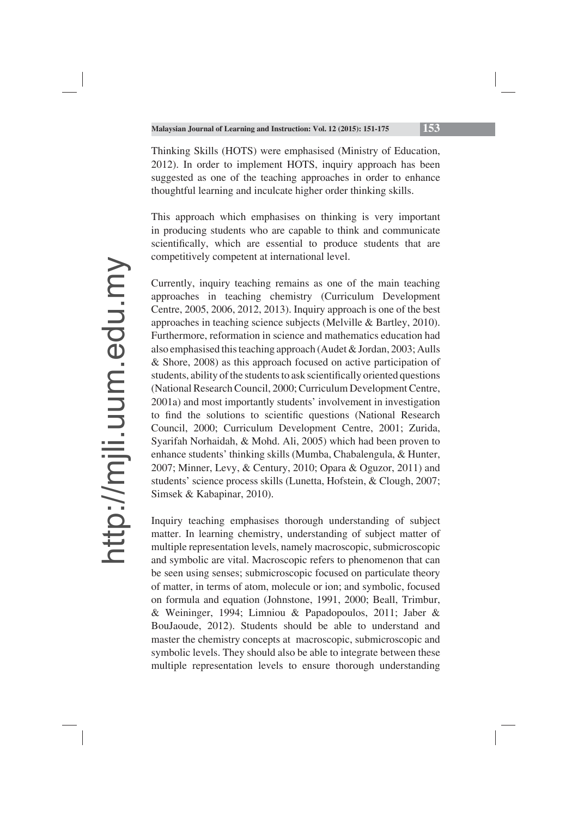Thinking Skills (HOTS) were emphasised (Ministry of Education, 2012). In order to implement HOTS, inquiry approach has been suggested as one of the teaching approaches in order to enhance thoughtful learning and inculcate higher order thinking skills.

This approach which emphasises on thinking is very important in producing students who are capable to think and communicate scientifically, which are essential to produce students that are competitively competent at international level.

Currently, inquiry teaching remains as one of the main teaching approaches in teaching chemistry (Curriculum Development Centre, 2005, 2006, 2012, 2013). Inquiry approach is one of the best approaches in teaching science subjects (Melville & Bartley, 2010). Furthermore, reformation in science and mathematics education had also emphasised this teaching approach (Audet & Jordan, 2003; Aulls & Shore, 2008) as this approach focused on active participation of students, ability of the students to ask scientifically oriented questions (National Research Council, 2000; Curriculum Development Centre, 2001a) and most importantly students' involvement in investigation to find the solutions to scientific questions (National Research Council, 2000; Curriculum Development Centre, 2001; Zurida, Syarifah Norhaidah, & Mohd. Ali, 2005) which had been proven to enhance students' thinking skills (Mumba, Chabalengula, & Hunter, 2007; Minner, Levy, & Century, 2010; Opara & Oguzor, 2011) and students' science process skills (Lunetta, Hofstein, & Clough, 2007; Simsek & Kabapinar, 2010).

Inquiry teaching emphasises thorough understanding of subject matter. In learning chemistry, understanding of subject matter of multiple representation levels, namely macroscopic, submicroscopic and symbolic are vital. Macroscopic refers to phenomenon that can be seen using senses; submicroscopic focused on particulate theory of matter, in terms of atom, molecule or ion; and symbolic, focused on formula and equation (Johnstone, 1991, 2000; Beall, Trimbur, & Weininger, 1994; Limniou & Papadopoulos, 2011; Jaber & BouJaoude, 2012). Students should be able to understand and master the chemistry concepts at macroscopic, submicroscopic and symbolic levels. They should also be able to integrate between these multiple representation levels to ensure thorough understanding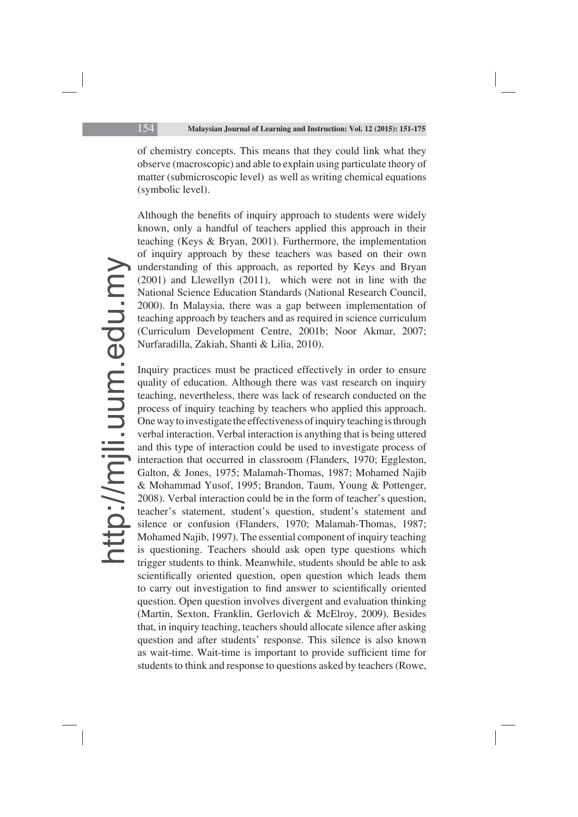of chemistry concepts. This means that they could link what they observe (macroscopic) and able to explain using particulate theory of matter (submicroscopic level) as well as writing chemical equations (symbolic level).

Although the benefits of inquiry approach to students were widely known, only a handful of teachers applied this approach in their teaching (Keys & Bryan, 2001). Furthermore, the implementation of inquiry approach by these teachers was based on their own understanding of this approach, as reported by Keys and Bryan (2001) and Llewellyn (2011), which were not in line with the National Science Education Standards (National Research Council, 2000). In Malaysia, there was a gap between implementation of teaching approach by teachers and as required in science curriculum (Curriculum Development Centre, 2001b; Noor Akmar, 2007; Nurfaradilla, Zakiah, Shanti & Lilia, 2010).

Inquiry practices must be practiced effectively in order to ensure quality of education. Although there was vast research on inquiry teaching, nevertheless, there was lack of research conducted on the process of inquiry teaching by teachers who applied this approach. One way to investigate the effectiveness of inquiry teaching is through verbal interaction. Verbal interaction is anything that is being uttered and this type of interaction could be used to investigate process of interaction that occurred in classroom (Flanders, 1970; Eggleston, Galton, & Jones, 1975; Malamah-Thomas, 1987; Mohamed Najib & Mohammad Yusof, 1995; Brandon, Taum, Young & Pottenger, 2008). Verbal interaction could be in the form of teacher's question, teacher's statement, student's question, student's statement and silence or confusion (Flanders, 1970; Malamah-Thomas, 1987; Mohamed Najib, 1997). The essential component of inquiry teaching is questioning. Teachers should ask open type questions which trigger students to think. Meanwhile, students should be able to ask scientifically oriented question, open question which leads them to carry out investigation to find answer to scientifically oriented question. Open question involves divergent and evaluation thinking (Martin, Sexton, Franklin, Gerlovich & McElroy, 2009). Besides that, in inquiry teaching, teachers should allocate silence after asking question and after students' response. This silence is also known as wait-time. Wait-time is important to provide sufficient time for students to think and response to questions asked by teachers (Rowe,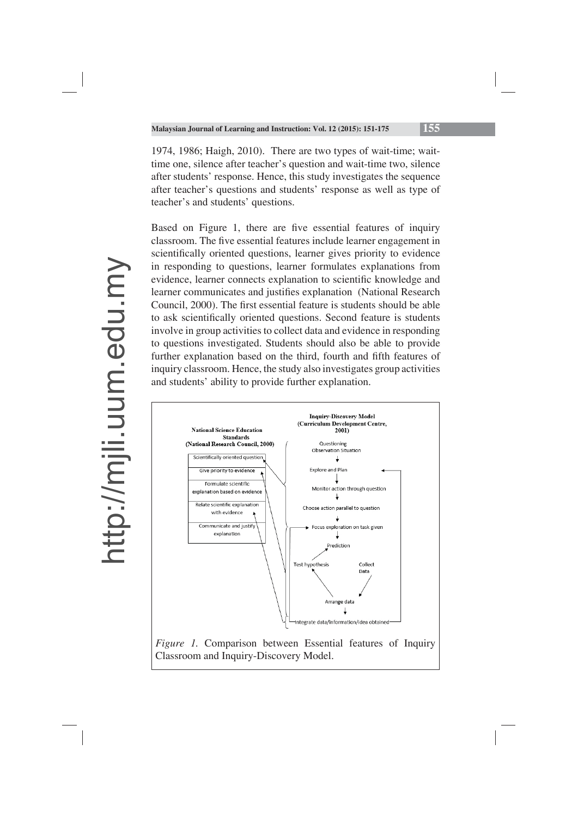1974, 1986; Haigh, 2010). There are two types of wait-time; waittime one, silence after teacher's question and wait-time two, silence after students' response. Hence, this study investigates the sequence after teacher's questions and students' response as well as type of teacher's and students' questions.

Based on Figure 1, there are five essential features of inquiry classroom. The five essential features include learner engagement in scientifically oriented questions, learner gives priority to evidence in responding to questions, learner formulates explanations from evidence, learner connects explanation to scientific knowledge and learner communicates and justifies explanation (National Research Council, 2000). The first essential feature is students should be able to ask scientifically oriented questions. Second feature is students involve in group activities to collect data and evidence in responding to questions investigated. Students should also be able to provide further explanation based on the third, fourth and fifth features of inquiry classroom. Hence, the study also investigates group activities and students' ability to provide further explanation.

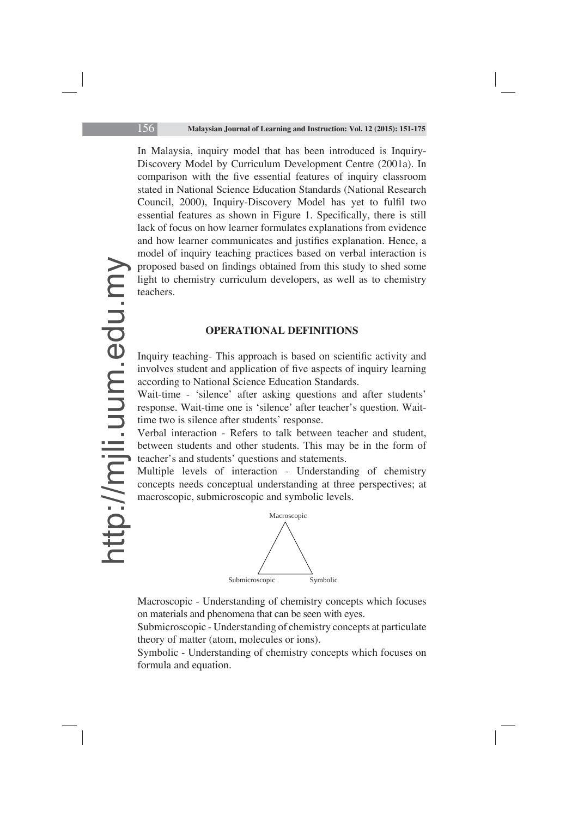In Malaysia, inquiry model that has been introduced is Inquiry-Discovery Model by Curriculum Development Centre (2001a). In comparison with the five essential features of inquiry classroom stated in National Science Education Standards (National Research Council, 2000), Inquiry-Discovery Model has yet to fulfil two essential features as shown in Figure 1. Specifically, there is still lack of focus on how learner formulates explanations from evidence and how learner communicates and justifies explanation. Hence, a model of inquiry teaching practices based on verbal interaction is proposed based on findings obtained from this study to shed some light to chemistry curriculum developers, as well as to chemistry teachers.

#### **OPERATIONAL DEFINITIONS**

Inquiry teaching- This approach is based on scientific activity and involves student and application of five aspects of inquiry learning according to National Science Education Standards.

Wait-time - 'silence' after asking questions and after students' response. Wait-time one is 'silence' after teacher's question. Waittime two is silence after students' response.

Verbal interaction - Refers to talk between teacher and student, between students and other students. This may be in the form of teacher's and students' questions and statements.

Multiple levels of interaction - Understanding of chemistry concepts needs conceptual understanding at three perspectives; at macroscopic, submicroscopic and symbolic levels.



Macroscopic - Understanding of chemistry concepts which focuses on materials and phenomena that can be seen with eyes.

Submicroscopic - Understanding of chemistry concepts at particulate theory of matter (atom, molecules or ions).

Symbolic - Understanding of chemistry concepts which focuses on formula and equation.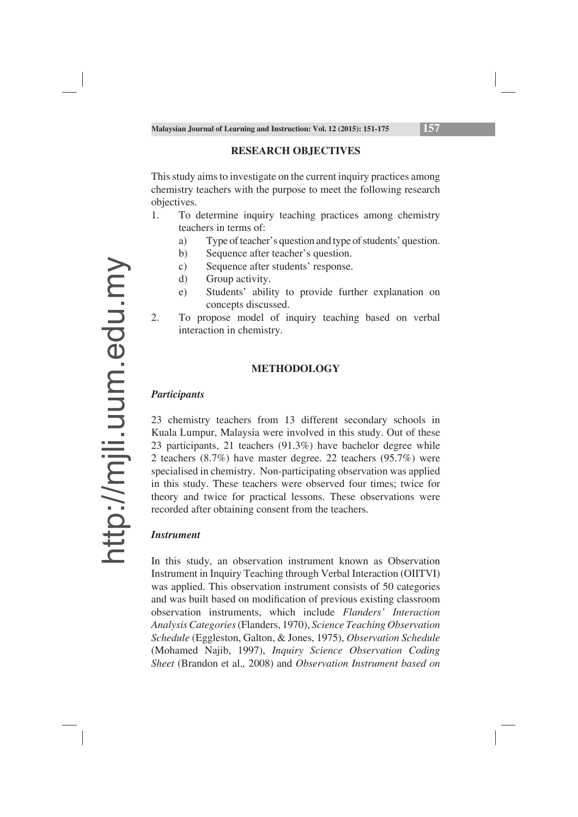## **RESEARCH OBJECTIVES**

This study aims to investigate on the current inquiry practices among chemistry teachers with the purpose to meet the following research objectives.

- 1. To determine inquiry teaching practices among chemistry teachers in terms of:
	- a) Type of teacher's question and type of students' question.
	- b) Sequence after teacher's question.
	- c) Sequence after students' response.
	- d) Group activity.
	- e) Students' ability to provide further explanation on concepts discussed.
- 2. To propose model of inquiry teaching based on verbal interaction in chemistry.

## **METHODOLOGY**

## *Participants*

23 chemistry teachers from 13 different secondary schools in Kuala Lumpur, Malaysia were involved in this study. Out of these 23 participants, 21 teachers (91.3%) have bachelor degree while 2 teachers (8.7%) have master degree. 22 teachers (95.7%) were specialised in chemistry. Non-participating observation was applied in this study. These teachers were observed four times; twice for theory and twice for practical lessons. These observations were recorded after obtaining consent from the teachers.

## *Instrument*

In this study, an observation instrument known as Observation Instrument in Inquiry Teaching through Verbal Interaction (OIITVI) was applied. This observation instrument consists of 50 categories and was built based on modification of previous existing classroom observation instruments, which include *Flanders' Interaction Analysis Categories* (Flanders, 1970), *Science Teaching Observation Schedule* (Eggleston, Galton, & Jones, 1975), *Observation Schedule*  (Mohamed Najib, 1997), *Inquiry Science Observation Coding Sheet* (Brandon et al.*,* 2008) and *Observation Instrument based on*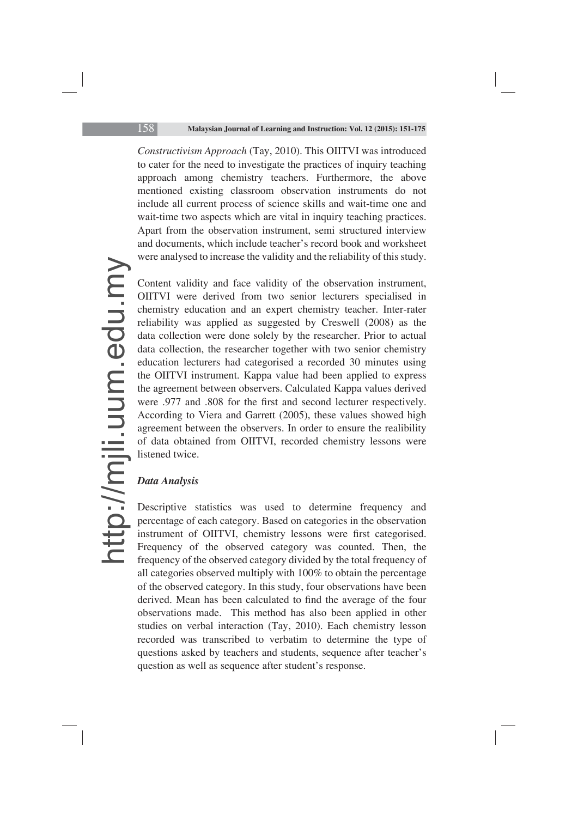*Constructivism Approach* (Tay, 2010). This OIITVI was introduced to cater for the need to investigate the practices of inquiry teaching approach among chemistry teachers. Furthermore, the above mentioned existing classroom observation instruments do not include all current process of science skills and wait-time one and wait-time two aspects which are vital in inquiry teaching practices. Apart from the observation instrument, semi structured interview and documents, which include teacher's record book and worksheet were analysed to increase the validity and the reliability of this study.

Content validity and face validity of the observation instrument, OIITVI were derived from two senior lecturers specialised in chemistry education and an expert chemistry teacher. Inter-rater reliability was applied as suggested by Creswell (2008) as the data collection were done solely by the researcher. Prior to actual data collection, the researcher together with two senior chemistry education lecturers had categorised a recorded 30 minutes using the OIITVI instrument. Kappa value had been applied to express the agreement between observers. Calculated Kappa values derived were .977 and .808 for the first and second lecturer respectively. According to Viera and Garrett (2005), these values showed high agreement between the observers. In order to ensure the realibility of data obtained from OIITVI, recorded chemistry lessons were listened twice.

## *Data Analysis*

Descriptive statistics was used to determine frequency and percentage of each category. Based on categories in the observation instrument of OIITVI, chemistry lessons were first categorised. Frequency of the observed category was counted. Then, the frequency of the observed category divided by the total frequency of all categories observed multiply with 100% to obtain the percentage of the observed category. In this study, four observations have been derived. Mean has been calculated to find the average of the four observations made. This method has also been applied in other studies on verbal interaction (Tay, 2010). Each chemistry lesson recorded was transcribed to verbatim to determine the type of questions asked by teachers and students, sequence after teacher's question as well as sequence after student's response.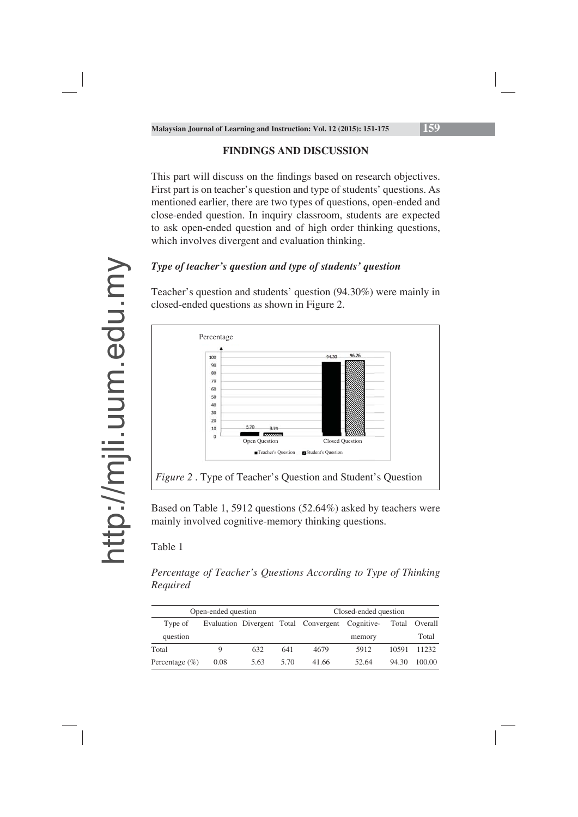## **FINDINGS AND DISCUSSION**

This part will discuss on the findings based on research objectives. First part is on teacher's question and type of students' questions. As mentioned earlier, there are two types of questions, open-ended and close-ended question. In inquiry classroom, students are expected to ask open-ended question and of high order thinking questions, which involves divergent and evaluation thinking.

## *Type of teacher's question and type of students' question*

Teacher's question and students' question (94.30%) were mainly in closed-ended questions as shown in Figure 2.



Based on Table 1, 5912 questions (52.64%) asked by teachers were mainly involved cognitive-memory thinking questions.

## Table 1

*Percentage of Teacher's Questions According to Type of Thinking Required*

| Open-ended question |      |      |      | Closed-ended question                            |        |       |               |
|---------------------|------|------|------|--------------------------------------------------|--------|-------|---------------|
| Type of             |      |      |      | Evaluation Divergent Total Convergent Cognitive- |        |       | Total Overall |
| question            |      |      |      |                                                  | memory |       | Total         |
| Total               | O)   | 632  | 641  | 4679                                             | 5912   | 10591 | 11232         |
| Percentage $(\% )$  | 0.08 | 5.63 | 5.70 | 41.66                                            | 52.64  | 94.30 | 100.00        |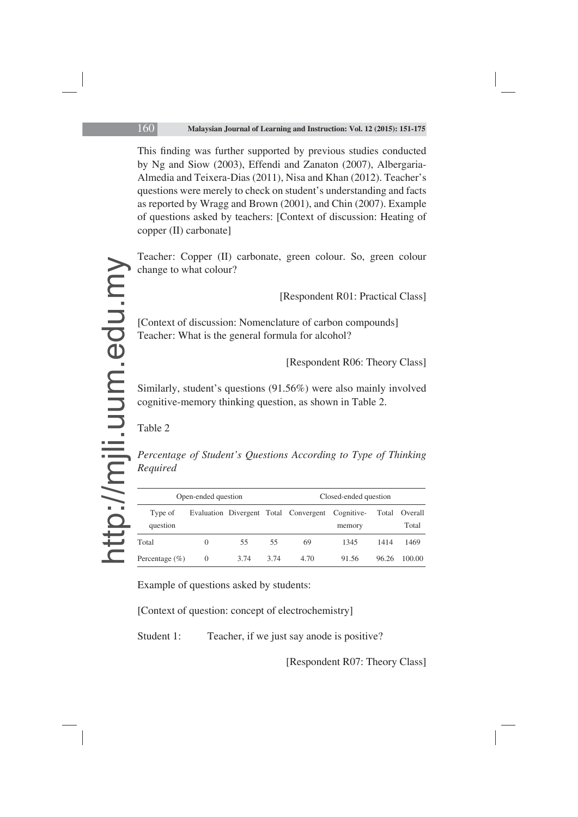This finding was further supported by previous studies conducted by Ng and Siow (2003), Effendi and Zanaton (2007), Albergaria-Almedia and Teixera-Dias (2011), Nisa and Khan (2012). Teacher's questions were merely to check on student's understanding and facts as reported by Wragg and Brown (2001), and Chin (2007). Example of questions asked by teachers: [Context of discussion: Heating of copper (II) carbonate]

Teacher: Copper (II) carbonate, green colour. So, green colour change to what colour?

[Respondent R01: Practical Class]

[Context of discussion: Nomenclature of carbon compounds] Teacher: What is the general formula for alcohol?

[Respondent R06: Theory Class]

Similarly, student's questions (91.56%) were also mainly involved cognitive-memory thinking question, as shown in Table 2.

Table 2

*Percentage of Student's Questions According to Type of Thinking Required*

| Open-ended question |          |      |      | Closed-ended question                            |        |       |                        |
|---------------------|----------|------|------|--------------------------------------------------|--------|-------|------------------------|
| Type of<br>question |          |      |      | Evaluation Divergent Total Convergent Cognitive- | memory |       | Total Overall<br>Total |
| Total               | $\theta$ | 55   | 55   | 69                                               | 1345   | 1414  | 1469                   |
| Percentage $(\% )$  | $\theta$ | 3.74 | 3.74 | 4.70                                             | 91.56  | 96.26 | 100.00                 |

Example of questions asked by students:

[Context of question: concept of electrochemistry]

Student 1: Teacher, if we just say anode is positive?

[Respondent R07: Theory Class]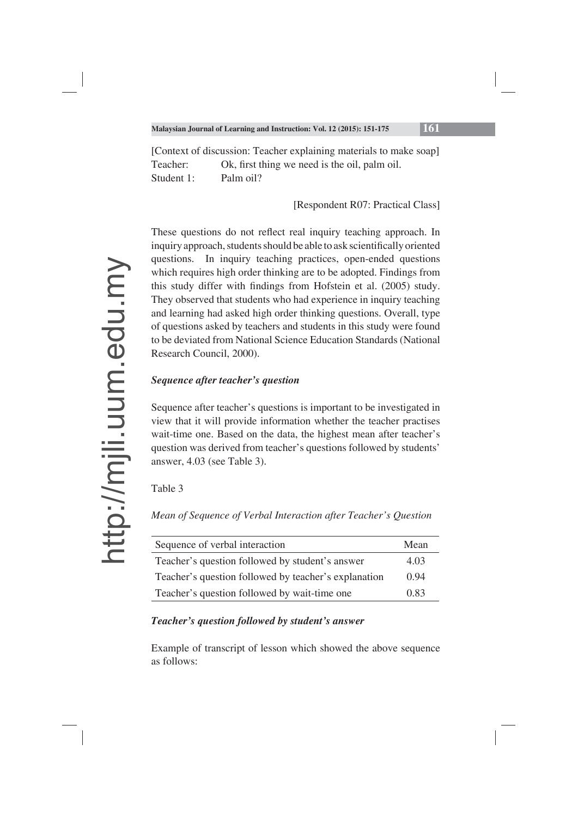[Context of discussion: Teacher explaining materials to make soap] Teacher: Ok, first thing we need is the oil, palm oil. Student 1: Palm oil?

[Respondent R07: Practical Class]

These questions do not reflect real inquiry teaching approach. In inquiry approach, students should be able to ask scientifically oriented questions. In inquiry teaching practices, open-ended questions which requires high order thinking are to be adopted. Findings from this study differ with findings from Hofstein et al. (2005) study. They observed that students who had experience in inquiry teaching and learning had asked high order thinking questions. Overall, type of questions asked by teachers and students in this study were found to be deviated from National Science Education Standards (National Research Council, 2000).

## *Sequence after teacher's question*

Sequence after teacher's questions is important to be investigated in view that it will provide information whether the teacher practises wait-time one. Based on the data, the highest mean after teacher's question was derived from teacher's questions followed by students' answer, 4.03 (see Table 3).

Table 3

*Mean of Sequence of Verbal Interaction after Teacher's Question*

| Sequence of verbal interaction                       | Mean |
|------------------------------------------------------|------|
| Teacher's question followed by student's answer      | 4.03 |
| Teacher's question followed by teacher's explanation | 0.94 |
| Teacher's question followed by wait-time one         | 0.83 |

## *Teacher's question followed by student's answer*

Example of transcript of lesson which showed the above sequence as follows: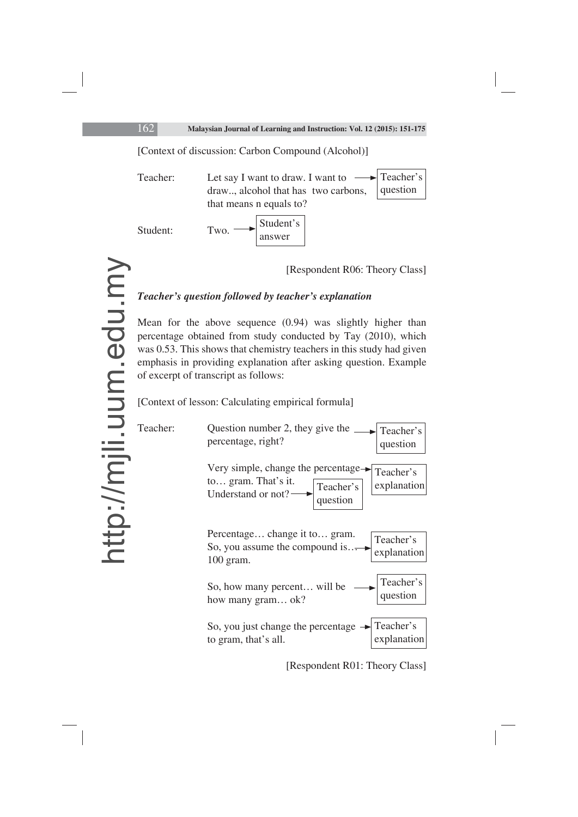[Context of discussion: Carbon Compound (Alcohol)]

Teacher: Let say I want to draw. I want to  $\rightarrow$  Teacher's draw.., alcohol that has two carbons, that means n equals to? Student: question Student's answer

[Respondent R06: Theory Class]

## *Teacher's question followed by teacher's explanation*

Mean for the above sequence (0.94) was slightly higher than percentage obtained from study conducted by Tay (2010), which was 0.53. This shows that chemistry teachers in this study had given emphasis in providing explanation after asking question. Example of excerpt of transcript as follows:

[Context of lesson: Calculating empirical formula]



[Respondent R01: Theory Class]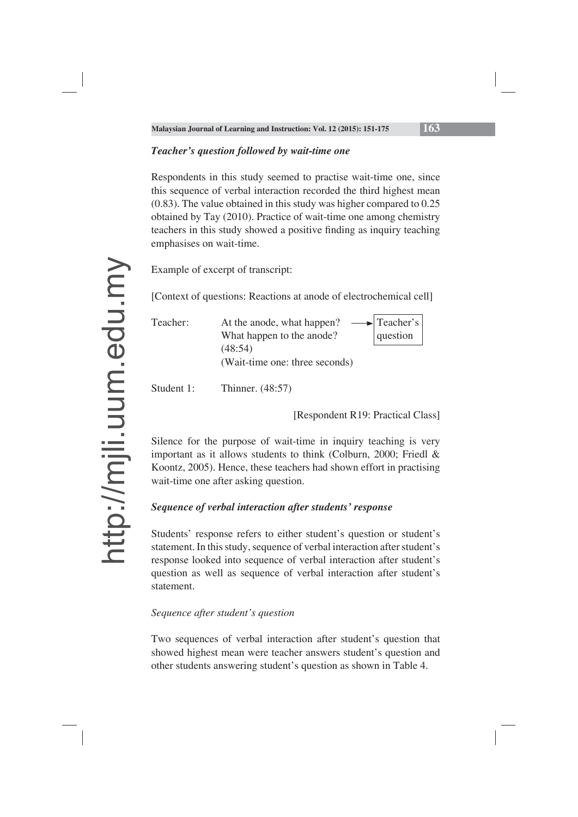## *Teacher's question followed by wait-time one*

Respondents in this study seemed to practise wait-time one, since this sequence of verbal interaction recorded the third highest mean (0.83). The value obtained in this study was higher compared to 0.25 obtained by Tay (2010). Practice of wait-time one among chemistry teachers in this study showed a positive finding as inquiry teaching emphasises on wait-time.

Example of excerpt of transcript:

[Context of questions: Reactions at anode of electrochemical cell]

| Teacher: | At the anode, what happen?     | $\rightarrow$ Teacher's |
|----------|--------------------------------|-------------------------|
|          | What happen to the anode?      | question                |
|          | (48:54)                        |                         |
|          | (Wait-time one: three seconds) |                         |
|          |                                |                         |

Student 1: Thinner. (48:57)

[Respondent R19: Practical Class]

Silence for the purpose of wait-time in inquiry teaching is very important as it allows students to think (Colburn, 2000; Friedl & Koontz, 2005). Hence, these teachers had shown effort in practising wait-time one after asking question.

## *Sequence of verbal interaction after students' response*

Students' response refers to either student's question or student's statement. In this study, sequence of verbal interaction after student's response looked into sequence of verbal interaction after student's question as well as sequence of verbal interaction after student's statement.

## *Sequence after student's question*

Two sequences of verbal interaction after student's question that showed highest mean were teacher answers student's question and other students answering student's question as shown in Table 4.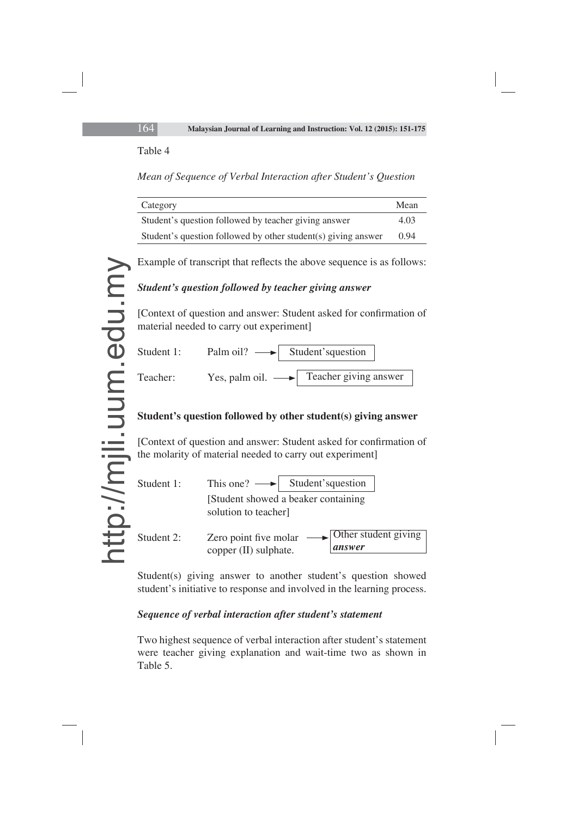#### Table 4

*Mean of Sequence of Verbal Interaction after Student's Question*

| Category                                                      | Mean |
|---------------------------------------------------------------|------|
| Student's question followed by teacher giving answer          | 4.03 |
| Student's question followed by other student(s) giving answer | 0.94 |

Example of transcript that reflects the above sequence is as follows:

## *Student's question followed by teacher giving answer*

[Context of question and answer: Student asked for confirmation of material needed to carry out experiment]



## **Student's question followed by other student(s) giving answer**

[Context of question and answer: Student asked for confirmation of the molarity of material needed to carry out experiment]

| Student 1: | This one? $\longrightarrow$ Student's question                                          |
|------------|-----------------------------------------------------------------------------------------|
|            | [Student showed a beaker containing]<br>solution to teacher]                            |
| Student 2: | <b>Other student giving</b><br>Zero point five molar<br>answer<br>copper (II) sulphate. |

Student(s) giving answer to another student's question showed student's initiative to response and involved in the learning process.

## *Sequence of verbal interaction after student's statement*

Two highest sequence of verbal interaction after student's statement were teacher giving explanation and wait-time two as shown in Table 5.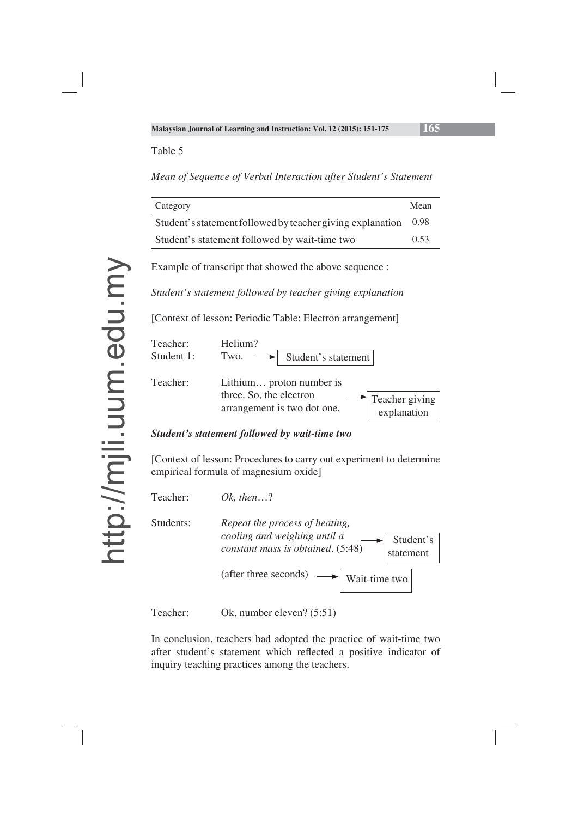#### Table 5

*Mean of Sequence of Verbal Interaction after Student's Statement*

| Category                                                   | Mean |
|------------------------------------------------------------|------|
| Student's statement followed by teacher giving explanation | 0.98 |
| Student's statement followed by wait-time two              | 0.53 |

Example of transcript that showed the above sequence :

*Student's statement followed by teacher giving explanation*

[Context of lesson: Periodic Table: Electron arrangement]



#### *Student's statement followed by wait-time two*

[Context of lesson: Procedures to carry out experiment to determine empirical formula of magnesium oxide]



Teacher: Ok, number eleven? (5:51)

In conclusion, teachers had adopted the practice of wait-time two after student's statement which reflected a positive indicator of inquiry teaching practices among the teachers.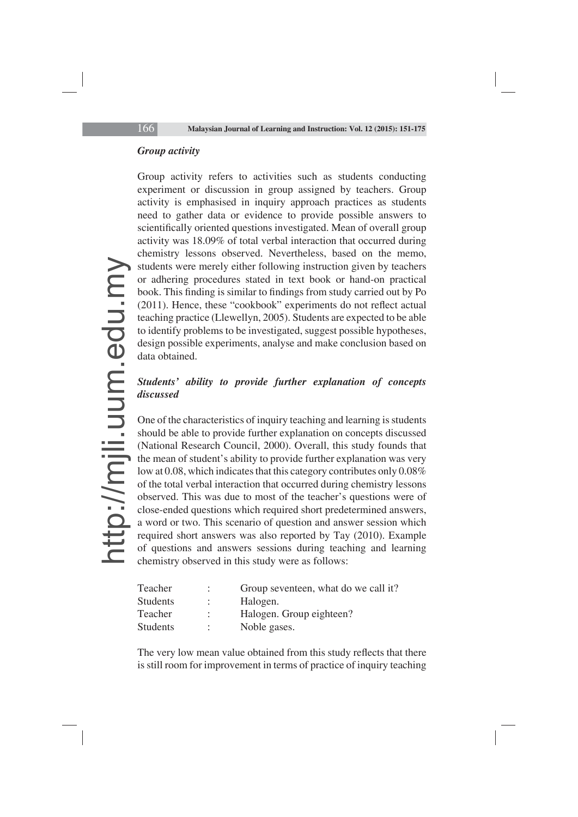#### *Group activity*

Group activity refers to activities such as students conducting experiment or discussion in group assigned by teachers. Group activity is emphasised in inquiry approach practices as students need to gather data or evidence to provide possible answers to scientifically oriented questions investigated. Mean of overall group activity was 18.09% of total verbal interaction that occurred during chemistry lessons observed. Nevertheless, based on the memo, students were merely either following instruction given by teachers or adhering procedures stated in text book or hand-on practical book. This finding is similar to findings from study carried out by Po  $(2011)$ . Hence, these "cookbook" experiments do not reflect actual teaching practice (Llewellyn, 2005). Students are expected to be able to identify problems to be investigated, suggest possible hypotheses, design possible experiments, analyse and make conclusion based on data obtained.

## *Students' ability to provide further explanation of concepts discussed*

One of the characteristics of inquiry teaching and learning is students should be able to provide further explanation on concepts discussed (National Research Council, 2000). Overall, this study founds that the mean of student's ability to provide further explanation was very low at 0.08, which indicates that this category contributes only 0.08% of the total verbal interaction that occurred during chemistry lessons observed. This was due to most of the teacher's questions were of close-ended questions which required short predetermined answers, a word or two. This scenario of question and answer session which required short answers was also reported by Tay (2010). Example of questions and answers sessions during teaching and learning chemistry observed in this study were as follows:

| Teacher         | ÷ | Group seventeen, what do we call it? |
|-----------------|---|--------------------------------------|
| <b>Students</b> | ÷ | Halogen.                             |
| Teacher         | ÷ | Halogen. Group eighteen?             |
| <b>Students</b> | ÷ | Noble gases.                         |

The very low mean value obtained from this study reflects that there is still room for improvement in terms of practice of inquiry teaching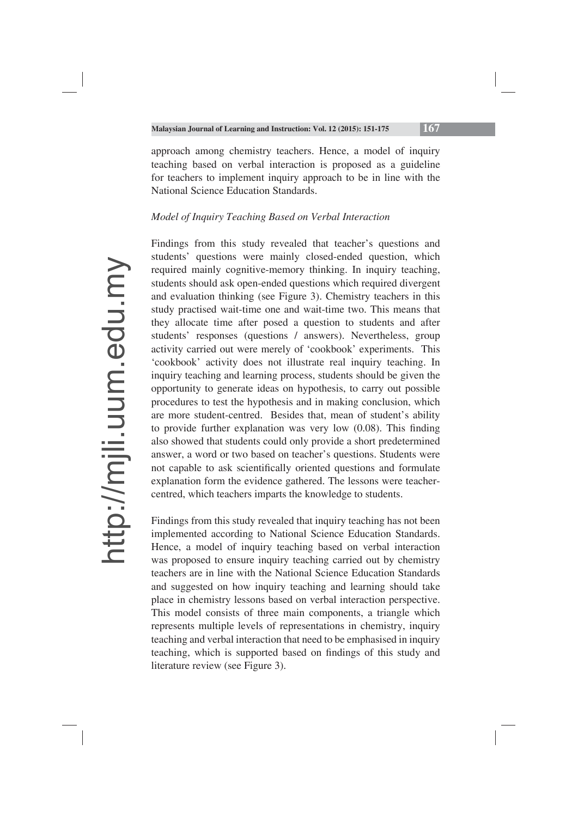approach among chemistry teachers. Hence, a model of inquiry teaching based on verbal interaction is proposed as a guideline for teachers to implement inquiry approach to be in line with the National Science Education Standards.

#### *Model of Inquiry Teaching Based on Verbal Interaction*

Findings from this study revealed that teacher's questions and students' questions were mainly closed-ended question, which required mainly cognitive-memory thinking. In inquiry teaching, students should ask open-ended questions which required divergent and evaluation thinking (see Figure 3). Chemistry teachers in this study practised wait-time one and wait-time two. This means that they allocate time after posed a question to students and after students' responses (questions / answers). Nevertheless, group activity carried out were merely of 'cookbook' experiments. This 'cookbook' activity does not illustrate real inquiry teaching. In inquiry teaching and learning process, students should be given the opportunity to generate ideas on hypothesis, to carry out possible procedures to test the hypothesis and in making conclusion, which are more student-centred. Besides that, mean of student's ability to provide further explanation was very low  $(0.08)$ . This finding also showed that students could only provide a short predetermined answer, a word or two based on teacher's questions. Students were not capable to ask scientifically oriented questions and formulate explanation form the evidence gathered. The lessons were teachercentred, which teachers imparts the knowledge to students.

Findings from this study revealed that inquiry teaching has not been implemented according to National Science Education Standards. Hence, a model of inquiry teaching based on verbal interaction was proposed to ensure inquiry teaching carried out by chemistry teachers are in line with the National Science Education Standards and suggested on how inquiry teaching and learning should take place in chemistry lessons based on verbal interaction perspective. This model consists of three main components, a triangle which represents multiple levels of representations in chemistry, inquiry teaching and verbal interaction that need to be emphasised in inquiry teaching, which is supported based on findings of this study and literature review (see Figure 3).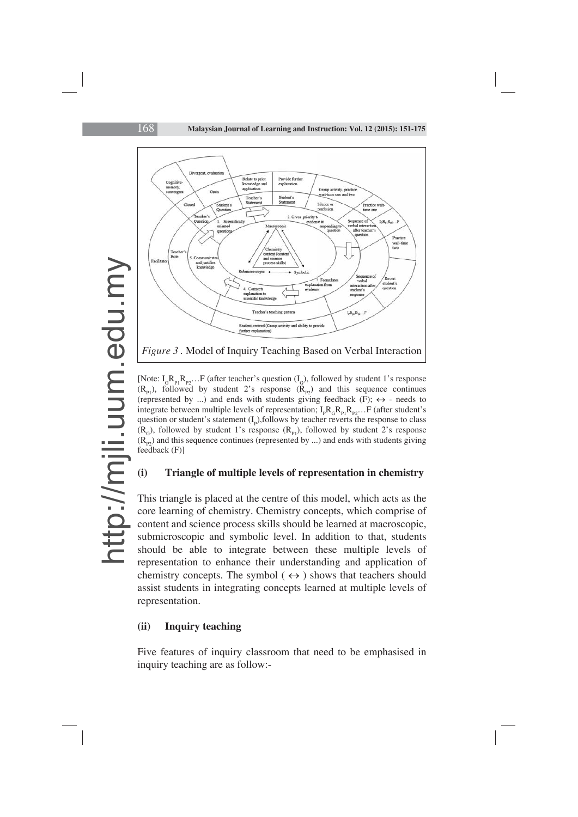

[Note:  $I_c R_n R_n$ ... F (after teacher's question  $(I_c)$ , followed by student 1's response  $(R_{p1})$ , followed by student 2's response  $(R_{p2})$  and this sequence continues (represented by ...) and ends with students giving feedback (F);  $\leftrightarrow$  - needs to integrate between multiple levels of representation;  $I_p R_G R_{p_1} R_{p_2} \dots F$  (after student's question or student's statement  $(I_p)$ , follows by teacher reverts the response to class  $(R<sub>G</sub>)$ , followed by student 1's response  $(R<sub>p1</sub>)$ , followed by student 2's response  $(R_{p2})$  and this sequence continues (represented by ...) and ends with students giving feedback (F)]

#### **(i) Triangle of multiple levels of representation in chemistry**

This triangle is placed at the centre of this model, which acts as the core learning of chemistry. Chemistry concepts, which comprise of content and science process skills should be learned at macroscopic, submicroscopic and symbolic level. In addition to that, students should be able to integrate between these multiple levels of representation to enhance their understanding and application of chemistry concepts. The symbol  $(\leftrightarrow)$  shows that teachers should assist students in integrating concepts learned at multiple levels of representation.

#### **(ii) Inquiry teaching**

Five features of inquiry classroom that need to be emphasised in inquiry teaching are as follow:-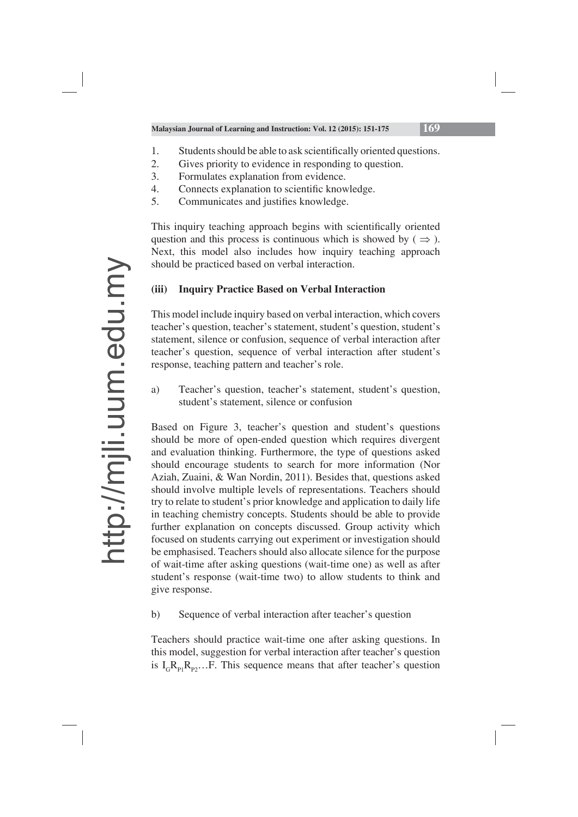- 1. Students should be able to ask scientifically oriented questions.
- 2. Gives priority to evidence in responding to question.
- 3. Formulates explanation from evidence.
- 4. Connects explanation to scientific knowledge.
- 5. Communicates and justifies knowledge.

This inquiry teaching approach begins with scientifically oriented question and this process is continuous which is showed by ( $\Rightarrow$ ). Next, this model also includes how inquiry teaching approach should be practiced based on verbal interaction.

## **(iii) Inquiry Practice Based on Verbal Interaction**

This model include inquiry based on verbal interaction, which covers teacher's question, teacher's statement, student's question, student's statement, silence or confusion, sequence of verbal interaction after teacher's question, sequence of verbal interaction after student's response, teaching pattern and teacher's role.

a) Teacher's question, teacher's statement, student's question, student's statement, silence or confusion

Based on Figure 3, teacher's question and student's questions should be more of open-ended question which requires divergent and evaluation thinking. Furthermore, the type of questions asked should encourage students to search for more information (Nor Aziah, Zuaini, & Wan Nordin, 2011). Besides that, questions asked should involve multiple levels of representations. Teachers should try to relate to student's prior knowledge and application to daily life in teaching chemistry concepts. Students should be able to provide further explanation on concepts discussed. Group activity which focused on students carrying out experiment or investigation should be emphasised. Teachers should also allocate silence for the purpose of wait-time after asking questions (wait-time one) as well as after student's response (wait-time two) to allow students to think and give response.

b) Sequence of verbal interaction after teacher's question

Teachers should practice wait-time one after asking questions. In this model, suggestion for verbal interaction after teacher's question is  $I_c R_{p1}R_{p2}...$ F. This sequence means that after teacher's question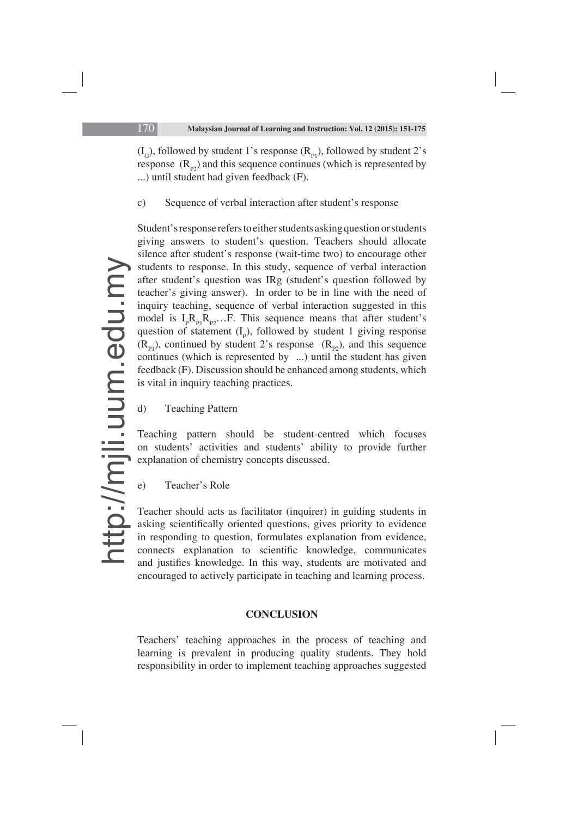$(L<sub>c</sub>)$ , followed by student 1's response  $(R<sub>n1</sub>)$ , followed by student 2's response  $(R_{p2})$  and this sequence continues (which is represented by ...) until student had given feedback (F).

## c) Sequence of verbal interaction after student's response

Student's response refers to either students asking question or students giving answers to student's question. Teachers should allocate silence after student's response (wait-time two) to encourage other students to response. In this study, sequence of verbal interaction after student's question was IRg (student's question followed by teacher's giving answer). In order to be in line with the need of inquiry teaching, sequence of verbal interaction suggested in this model is  $I_p R_{p_1} R_{p_2} \ldots F$ . This sequence means that after student's question of statement  $(I_p)$ , followed by student 1 giving response  $(R_{P1})$ , continued by student 2's response  $(R_{P2})$ , and this sequence continues (which is represented by  $\ldots$ ) until the student has given feedback (F). Discussion should be enhanced among students, which is vital in inquiry teaching practices.

d) Teaching Pattern

Teaching pattern should be student-centred which focuses on students' activities and students' ability to provide further explanation of chemistry concepts discussed.

e) Teacher's Role

Teacher should acts as facilitator (inquirer) in guiding students in asking scientifically oriented questions, gives priority to evidence in responding to question, formulates explanation from evidence, connects explanation to scientific knowledge, communicates and justifies knowledge. In this way, students are motivated and encouraged to actively participate in teaching and learning process.

## **CONCLUSION**

Teachers' teaching approaches in the process of teaching and learning is prevalent in producing quality students. They hold responsibility in order to implement teaching approaches suggested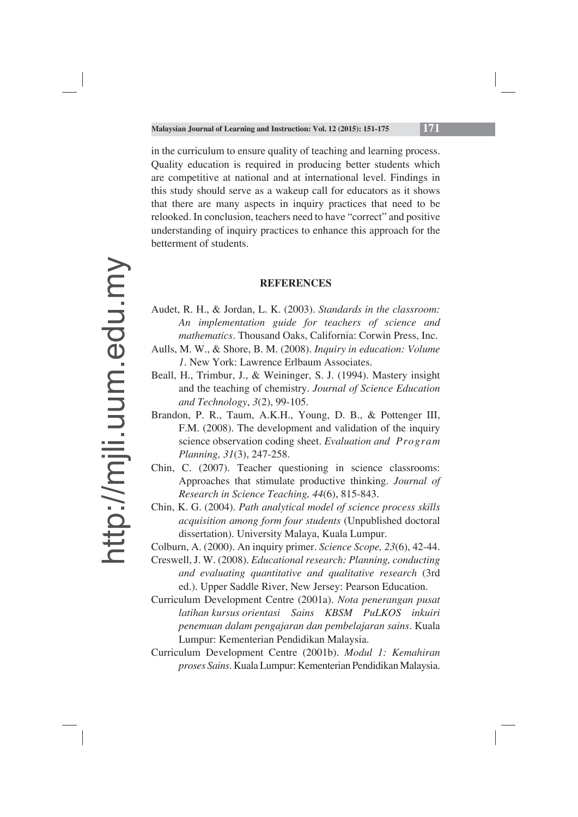in the curriculum to ensure quality of teaching and learning process. Quality education is required in producing better students which are competitive at national and at international level. Findings in this study should serve as a wakeup call for educators as it shows that there are many aspects in inquiry practices that need to be relooked. In conclusion, teachers need to have "correct" and positive understanding of inquiry practices to enhance this approach for the betterment of students.

#### **REFERENCES**

- Audet, R. H., & Jordan, L. K. (2003). *Standards in the classroom: An implementation guide for teachers of science and mathematics*. Thousand Oaks, California: Corwin Press, Inc.
- Aulls, M. W., & Shore, B. M. (2008). *Inquiry in education: Volume 1*. New York: Lawrence Erlbaum Associates.
- Beall, H., Trimbur, J., & Weininger, S. J. (1994). Mastery insight and the teaching of chemistry. *Journal of Science Education and Technology*, *3*(2), 99-105.
- Brandon, P. R., Taum, A.K.H., Young, D. B., & Pottenger III, F.M. (2008). The development and validation of the inquiry science observation coding sheet. *Evaluation and Program Planning, 31*(3), 247-258.
- Chin, C. (2007). Teacher questioning in science classrooms: Approaches that stimulate productive thinking. *Journal of Research in Science Teaching, 44*(6), 815-843.
- Chin, K. G. (2004). *Path analytical model of science process skills acquisition among form four students* (Unpublished doctoral dissertation). University Malaya, Kuala Lumpur.
- Colburn, A. (2000). An inquiry primer. *Science Scope, 23*(6), 42-44.
- Creswell, J. W. (2008). *Educational research: Planning, conducting and evaluating quantitative and qualitative research* (3rd ed.). Upper Saddle River, New Jersey: Pearson Education.
- Curriculum Development Centre (2001a). *Nota penerangan pusat latihan kursus orientasi Sains KBSM PuLKOS inkuiri penemuan dalam pengajaran dan pembelajaran sains*. Kuala Lumpur: Kementerian Pendidikan Malaysia.
- Curriculum Development Centre (2001b). *Modul 1: Kemahiran proses Sains*. Kuala Lumpur: Kementerian Pendidikan Malaysia.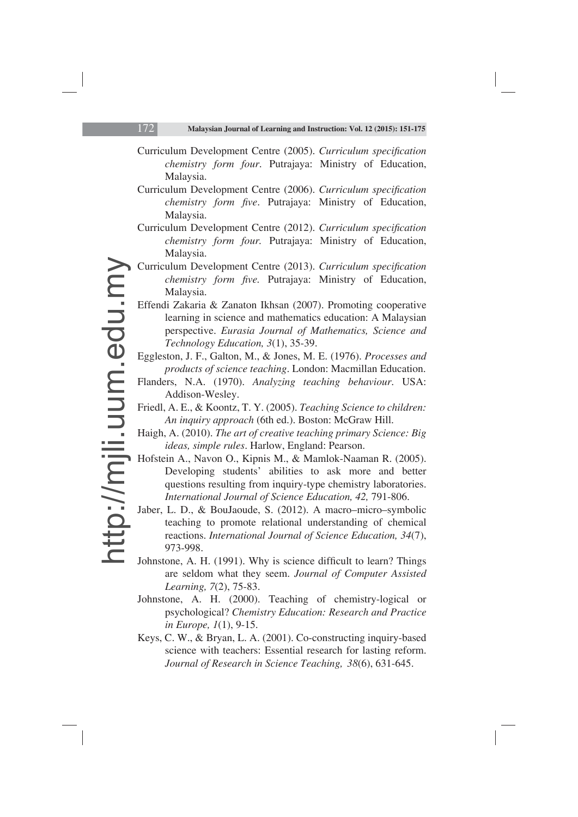- Curriculum Development Centre (2005). *Curriculum specification chemistry form four*. Putrajaya: Ministry of Education, Malaysia.
- Curriculum Development Centre (2006). *Curriculum specification chemistry form five.* Putrajaya: Ministry of Education, Malaysia.
- Curriculum Development Centre (2012). *Curriculum specification chemistry form four.* Putrajaya: Ministry of Education, Malaysia.
- Curriculum Development Centre (2013). *Curriculum specification chemistry form five.* Putrajaya: Ministry of Education, Malaysia.
- Effendi Zakaria & Zanaton Ikhsan (2007). Promoting cooperative learning in science and mathematics education: A Malaysian perspective. *Eurasia Journal of Mathematics, Science and Technology Education, 3*(1), 35-39.
- Eggleston, J. F., Galton, M., & Jones, M. E. (1976). *Processes and products of science teaching*. London: Macmillan Education.
- Flanders, N.A. (1970). *Analyzing teaching behaviour*. USA: Addison-Wesley.
- Friedl, A. E., & Koontz, T. Y. (2005). *Teaching Science to children: An inquiry approach* (6th ed.). Boston: McGraw Hill.
- Haigh, A. (2010). *The art of creative teaching primary Science: Big ideas, simple rules*. Harlow, England: Pearson.
- Hofstein A., Navon O., Kipnis M., & Mamlok-Naaman R. (2005). Developing students' abilities to ask more and better questions resulting from inquiry-type chemistry laboratories. *International Journal of Science Education, 42,* 791-806.
- Jaber, L. D., & BouJaoude, S. (2012). A macro–micro–symbolic teaching to promote relational understanding of chemical reactions. *International Journal of Science Education, 34*(7), 973-998.
- Johnstone, A. H. (1991). Why is science difficult to learn? Things are seldom what they seem. *Journal of Computer Assisted Learning, 7*(2), 75-83.
- Johnstone, A. H. (2000). Teaching of chemistry-logical or psychological? *Chemistry Education: Research and Practice in Europe, 1*(1), 9-15.
- Keys, C. W., & Bryan, L. A. (2001). Co-constructing inquiry-based science with teachers: Essential research for lasting reform. *Journal of Research in Science Teaching, 38*(6), 631-645.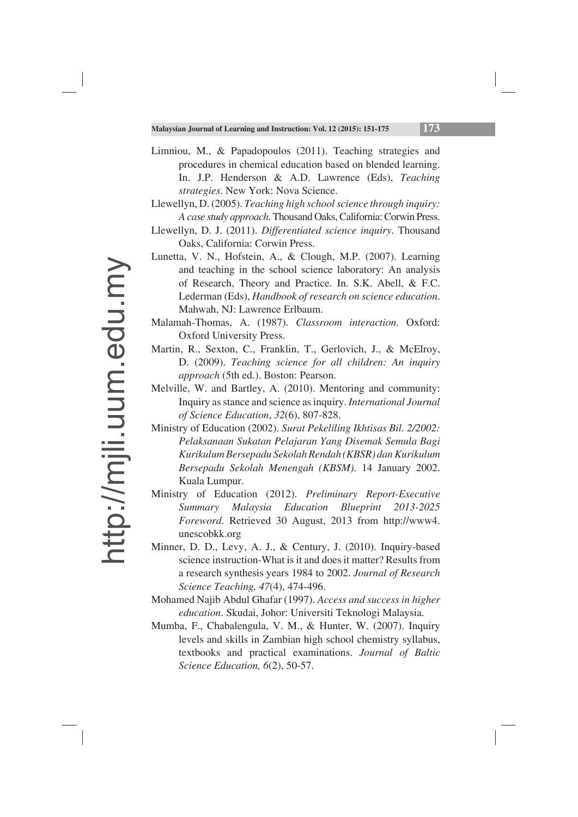- Limniou, M., & Papadopoulos (2011). Teaching strategies and procedures in chemical education based on blended learning. In. J.P. Henderson & A.D. Lawrence (Eds), *Teaching strategies*. New York: Nova Science.
- Llewellyn, D. (2005). *Teaching high school science through inquiry: A case study approach*. Thousand Oaks, California: Corwin Press.
- Llewellyn, D. J. (2011). *Differentiated science inquiry*. Thousand Oaks, California: Corwin Press.
- Lunetta, V. N., Hofstein, A., & Clough, M.P. (2007). Learning and teaching in the school science laboratory: An analysis of Research, Theory and Practice. In. S.K. Abell, & F.C. Lederman (Eds), *Handbook of research on science education*. Mahwah, NJ: Lawrence Erlbaum.
- Malamah-Thomas, A. (1987). *Classroom interaction*. Oxford: Oxford University Press.
- Martin, R., Sexton, C., Franklin, T., Gerlovich, J., & McElroy, D. (2009). *Teaching science for all children: An inquiry approach* (5th ed.). Boston: Pearson.
- Melville, W. and Bartley, A. (2010). Mentoring and community: Inquiry as stance and science as inquiry. *International Journal of Science Education*, *32*(6), 807-828.
- Ministry of Education (2002). *Surat Pekeliling Ikhtisas Bil. 2/2002: Pelaksanaan Sukatan Pelajaran Yang Disemak Semula Bagi Kurikulum Bersepadu Sekolah Rendah (KBSR) dan Kurikulum Bersepadu Sekolah Menengah (KBSM)*. 14 January 2002. Kuala Lumpur.
- Ministry of Education (2012). *Preliminary Report-Executive Summary Malaysia Education Blueprint 2013-2025 Foreword*. Retrieved 30 August, 2013 from http://www4. unescobkk.org
- Minner, D. D., Levy, A. J., & Century, J. (2010). Inquiry-based science instruction-What is it and does it matter? Results from a research synthesis years 1984 to 2002. *Journal of Research Science Teaching, 47*(4), 474-496.
- Mohamed Najib Abdul Ghafar (1997). *Access and success in higher education*. Skudai, Johor: Universiti Teknologi Malaysia.
- Mumba, F., Chabalengula, V. M., & Hunter, W. (2007). Inquiry levels and skills in Zambian high school chemistry syllabus, textbooks and practical examinations. *Journal of Baltic Science Education, 6*(2), 50-57.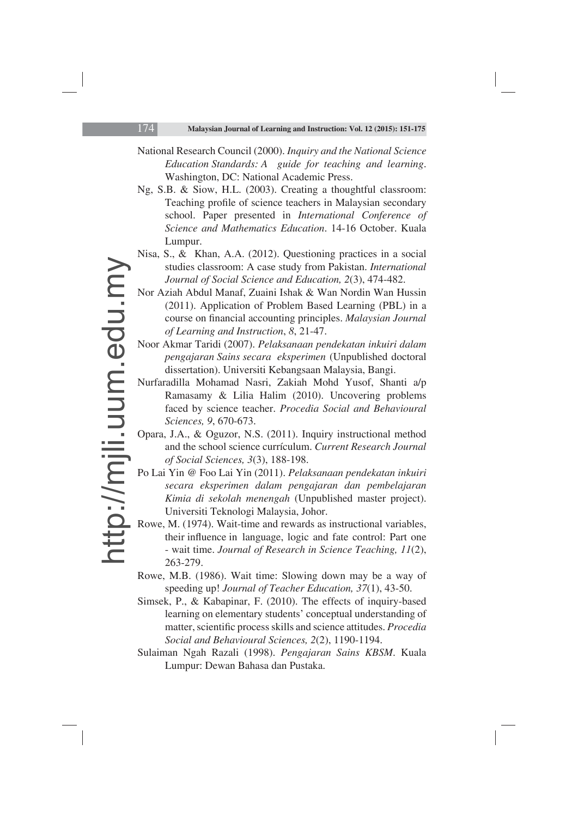- National Research Council (2000). *Inquiry and the National Science Education Standards: A guide for teaching and learning*. Washington, DC: National Academic Press.
- Ng, S.B. & Siow, H.L. (2003). Creating a thoughtful classroom: Teaching profile of science teachers in Malaysian secondary school. Paper presented in *International Conference of Science and Mathematics Education*. 14-16 October. Kuala Lumpur.
- Nisa, S., & Khan, A.A. (2012). Questioning practices in a social studies classroom: A case study from Pakistan. *International Journal of Social Science and Education, 2*(3), 474-482.
- Nor Aziah Abdul Manaf, Zuaini Ishak & Wan Nordin Wan Hussin (2011). Application of Problem Based Learning (PBL) in a course on financial accounting principles. *Malaysian Journal of Learning and Instruction*, *8*, 21-47.
- Noor Akmar Taridi (2007). *Pelaksanaan pendekatan inkuiri dalam pengajaran Sains secara eksperimen* (Unpublished doctoral dissertation). Universiti Kebangsaan Malaysia, Bangi.
- Nurfaradilla Mohamad Nasri, Zakiah Mohd Yusof, Shanti a/p Ramasamy & Lilia Halim (2010). Uncovering problems faced by science teacher. *Procedia Social and Behavioural Sciences, 9*, 670-673.
- Opara, J.A., & Oguzor, N.S. (2011). Inquiry instructional method and the school science currículum. *Current Research Journal of Social Sciences, 3*(3), 188-198.
- Po Lai Yin @ Foo Lai Yin (2011). *Pelaksanaan pendekatan inkuiri secara eksperimen dalam pengajaran dan pembelajaran Kimia di sekolah menengah* (Unpublished master project). Universiti Teknologi Malaysia, Johor.
- Rowe, M. (1974). Wait-time and rewards as instructional variables, their influence in language, logic and fate control: Part one - wait time. *Journal of Research in Science Teaching, 11*(2), 263-279.
- Rowe, M.B. (1986). Wait time: Slowing down may be a way of speeding up! *Journal of Teacher Education, 37*(1), 43-50.
- Simsek, P., & Kabapinar, F. (2010). The effects of inquiry-based learning on elementary students' conceptual understanding of matter, scientific process skills and science attitudes. *Procedia Social and Behavioural Sciences, 2*(2), 1190-1194.
- Sulaiman Ngah Razali (1998). *Pengajaran Sains KBSM*. Kuala Lumpur: Dewan Bahasa dan Pustaka.